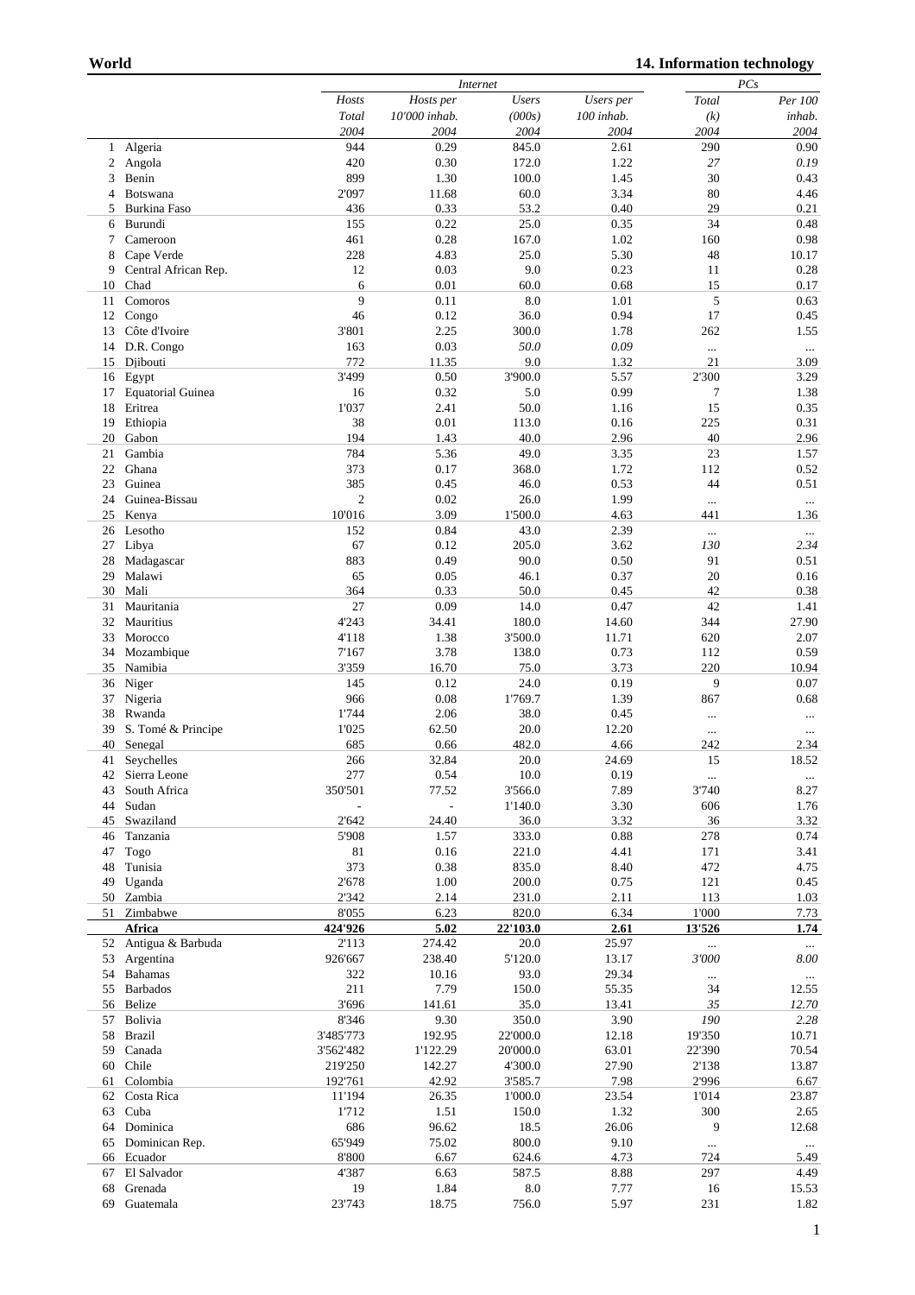|    |                          |                          | Internet       |              |            |          | PCs      |  |  |
|----|--------------------------|--------------------------|----------------|--------------|------------|----------|----------|--|--|
|    |                          | Hosts                    | Hosts per      | <b>Users</b> | Users per  | Total    | Per 100  |  |  |
|    |                          | Total                    | 10'000 inhab.  | (000s)       |            |          | inhab.   |  |  |
|    |                          |                          |                |              | 100 inhab. | (k)      |          |  |  |
|    |                          | 2004                     | 2004           | 2004         | 2004       | 2004     | 2004     |  |  |
| 1  | Algeria                  | 944                      | 0.29           | 845.0        | 2.61       | 290      | 0.90     |  |  |
| 2  | Angola                   | 420                      | 0.30           | 172.0        | 1.22       | 27       | 0.19     |  |  |
|    | Benin                    | 899                      | 1.30           | 100.0        |            | 30       | 0.43     |  |  |
| 3  |                          |                          |                |              | 1.45       |          |          |  |  |
| 4  | Botswana                 | 2'097                    | 11.68          | 60.0         | 3.34       | 80       | 4.46     |  |  |
| 5  | Burkina Faso             | 436                      | 0.33           | 53.2         | 0.40       | 29       | 0.21     |  |  |
| 6  | Burundi                  | 155                      | 0.22           | 25.0         | 0.35       | 34       | 0.48     |  |  |
| 7  | Cameroon                 | 461                      | 0.28           | 167.0        | 1.02       | 160      | 0.98     |  |  |
|    |                          |                          |                |              |            |          |          |  |  |
| 8  | Cape Verde               | 228                      | 4.83           | 25.0         | 5.30       | 48       | 10.17    |  |  |
| 9  | Central African Rep.     | 12                       | 0.03           | 9.0          | 0.23       | 11       | 0.28     |  |  |
| 10 | Chad                     | 6                        | 0.01           | 60.0         | 0.68       | 15       | 0.17     |  |  |
| 11 | Comoros                  | 9                        | 0.11           | 8.0          | 1.01       | 5        | 0.63     |  |  |
|    |                          |                          |                |              |            |          |          |  |  |
| 12 | Congo                    | 46                       | 0.12           | 36.0         | 0.94       | 17       | 0.45     |  |  |
| 13 | Côte d'Ivoire            | 3'801                    | 2.25           | 300.0        | 1.78       | 262      | 1.55     |  |  |
| 14 | D.R. Congo               | 163                      | 0.03           | 50.0         | 0.09       | $\cdots$ | $\ldots$ |  |  |
| 15 | Djibouti                 | 772                      | 11.35          | 9.0          | 1.32       | 21       | 3.09     |  |  |
|    |                          |                          |                |              |            |          |          |  |  |
| 16 | Egypt                    | 3'499                    | 0.50           | 3'900.0      | 5.57       | 2'300    | 3.29     |  |  |
| 17 | <b>Equatorial Guinea</b> | 16                       | 0.32           | 5.0          | 0.99       | 7        | 1.38     |  |  |
| 18 | Eritrea                  | 1'037                    | 2.41           | 50.0         | 1.16       | 15       | 0.35     |  |  |
| 19 |                          | 38                       | 0.01           | 113.0        | 0.16       |          | 0.31     |  |  |
|    | Ethiopia                 |                          |                |              |            | 225      |          |  |  |
| 20 | Gabon                    | 194                      | 1.43           | 40.0         | 2.96       | 40       | 2.96     |  |  |
| 21 | Gambia                   | 784                      | 5.36           | 49.0         | 3.35       | 23       | 1.57     |  |  |
| 22 | Ghana                    | 373                      | 0.17           | 368.0        | 1.72       | 112      | 0.52     |  |  |
| 23 | Guinea                   |                          |                |              |            | 44       |          |  |  |
|    |                          | 385                      | 0.45           | 46.0         | 0.53       |          | 0.51     |  |  |
| 24 | Guinea-Bissau            | $\mathfrak{2}$           | 0.02           | 26.0         | 1.99       | $\ldots$ | $\ldots$ |  |  |
| 25 | Kenya                    | 10'016                   | 3.09           | 1'500.0      | 4.63       | 441      | 1.36     |  |  |
| 26 | Lesotho                  | 152                      | 0.84           | 43.0         | 2.39       | $\cdots$ | $\ldots$ |  |  |
|    |                          |                          |                |              |            |          |          |  |  |
| 27 | Libya                    | 67                       | 0.12           | 205.0        | 3.62       | 130      | 2.34     |  |  |
| 28 | Madagascar               | 883                      | 0.49           | 90.0         | 0.50       | 91       | 0.51     |  |  |
| 29 | Malawi                   | 65                       | 0.05           | 46.1         | 0.37       | 20       | 0.16     |  |  |
| 30 | Mali                     | 364                      | 0.33           | 50.0         | 0.45       | 42       | 0.38     |  |  |
|    |                          |                          |                |              |            |          |          |  |  |
| 31 | Mauritania               | 27                       | 0.09           | 14.0         | 0.47       | 42       | 1.41     |  |  |
| 32 | Mauritius                | 4'243                    | 34.41          | 180.0        | 14.60      | 344      | 27.90    |  |  |
| 33 | Morocco                  | 4'118                    | 1.38           | 3'500.0      | 11.71      | 620      | 2.07     |  |  |
| 34 | Mozambique               | 7'167                    | 3.78           | 138.0        | 0.73       | 112      | 0.59     |  |  |
|    |                          |                          |                |              |            |          |          |  |  |
| 35 | Namibia                  | 3'359                    | 16.70          | 75.0         | 3.73       | 220      | 10.94    |  |  |
| 36 | Niger                    | 145                      | 0.12           | 24.0         | 0.19       | 9        | 0.07     |  |  |
| 37 | Nigeria                  | 966                      | 0.08           | 1'769.7      | 1.39       | 867      | 0.68     |  |  |
| 38 | Rwanda                   | 1'744                    | 2.06           | 38.0         | 0.45       | $\cdots$ | $\ldots$ |  |  |
|    |                          |                          |                |              |            |          |          |  |  |
| 39 | S. Tomé & Principe       | 1'025                    | 62.50          | 20.0         | 12.20      | $\cdots$ | $\cdots$ |  |  |
| 40 | Senegal                  | 685                      | 0.66           | 482.0        | 4.66       | 242      | 2.34     |  |  |
| 41 | Seychelles               | 266                      | 32.84          | 20.0         | 24.69      | 15       | 18.52    |  |  |
| 42 | Sierra Leone             | 277                      | 0.54           | $10.0\,$     | 0.19       | $\ldots$ | $\ldots$ |  |  |
| 43 | South Africa             |                          |                |              |            | 3'740    | 8.27     |  |  |
|    |                          | 350'501                  | 77.52          | 3'566.0      | 7.89       |          |          |  |  |
| 44 | Sudan                    | $\overline{\phantom{a}}$ | $\blacksquare$ | 1'140.0      | 3.30       | 606      | 1.76     |  |  |
| 45 | Swaziland                | 2'642                    | 24.40          | 36.0         | 3.32       | 36       | 3.32     |  |  |
| 46 | Tanzania                 | 5'908                    | 1.57           | 333.0        | 0.88       | 278      | 0.74     |  |  |
|    |                          |                          |                |              |            | 171      | 3.41     |  |  |
| 47 | Togo                     | $81\,$                   | 0.16           | 221.0        | 4.41       |          |          |  |  |
| 48 | Tunisia                  | 373                      | 0.38           | 835.0        | 8.40       | 472      | 4.75     |  |  |
| 49 | Uganda                   | 2'678                    | 1.00           | 200.0        | 0.75       | 121      | 0.45     |  |  |
| 50 | Zambia                   | 2'342                    | 2.14           | 231.0        | 2.11       | 113      | 1.03     |  |  |
| 51 | Zimbabwe                 | 8'055                    | 6.23           | 820.0        | 6.34       | 1'000    | 7.73     |  |  |
|    |                          |                          |                |              |            |          |          |  |  |
|    | <b>Africa</b>            | 424'926                  | 5.02           | 22'103.0     | 2.61       | 13'526   | 1.74     |  |  |
| 52 | Antigua & Barbuda        | 2'113                    | 274.42         | $20.0\,$     | 25.97      |          | $\ldots$ |  |  |
| 53 | Argentina                | 926'667                  | 238.40         | 5'120.0      | 13.17      | 3'000    | $8.00\,$ |  |  |
| 54 | Bahamas                  | 322                      |                |              | 29.34      |          |          |  |  |
|    |                          |                          | 10.16          | 93.0         |            |          | $\ldots$ |  |  |
| 55 | <b>Barbados</b>          | 211                      | 7.79           | 150.0        | 55.35      | 34       | 12.55    |  |  |
| 56 | Belize                   | 3'696                    | 141.61         | 35.0         | 13.41      | 35       | 12.70    |  |  |
| 57 | Bolivia                  | 8'346                    | 9.30           | 350.0        | 3.90       | 190      | 2.28     |  |  |
| 58 | <b>Brazil</b>            | 3'485'773                | 192.95         | 22'000.0     | 12.18      |          |          |  |  |
|    |                          |                          |                |              |            | 19'350   | 10.71    |  |  |
| 59 | Canada                   | 3'562'482                | 1'122.29       | 20'000.0     | 63.01      | 22'390   | 70.54    |  |  |
| 60 | Chile                    | 219'250                  | 142.27         | 4'300.0      | 27.90      | 2'138    | 13.87    |  |  |
| 61 | Colombia                 | 192'761                  | 42.92          | 3'585.7      | 7.98       | 2'996    | 6.67     |  |  |
|    |                          |                          |                |              |            |          |          |  |  |
| 62 | Costa Rica               | 11'194                   | 26.35          | 1'000.0      | 23.54      | 1'014    | 23.87    |  |  |
| 63 | Cuba                     | 1'712                    | 1.51           | 150.0        | 1.32       | 300      | 2.65     |  |  |
| 64 | Dominica                 | 686                      | 96.62          | 18.5         | 26.06      | 9        | 12.68    |  |  |
| 65 | Dominican Rep.           | 65'949                   | 75.02          | 800.0        | 9.10       |          |          |  |  |
|    |                          |                          |                |              |            | $\ldots$ | $\ldots$ |  |  |
| 66 | Ecuador                  | 8'800                    | 6.67           | 624.6        | 4.73       | 724      | 5.49     |  |  |
| 67 | El Salvador              | 4'387                    | 6.63           | 587.5        | 8.88       | 297      | 4.49     |  |  |
| 68 | Grenada                  | 19                       | 1.84           | $\ \ 8.0$    | 7.77       | 16       | 15.53    |  |  |
| 69 | Guatemala                | 23'743                   | 18.75          | 756.0        | 5.97       | 231      | 1.82     |  |  |
|    |                          |                          |                |              |            |          |          |  |  |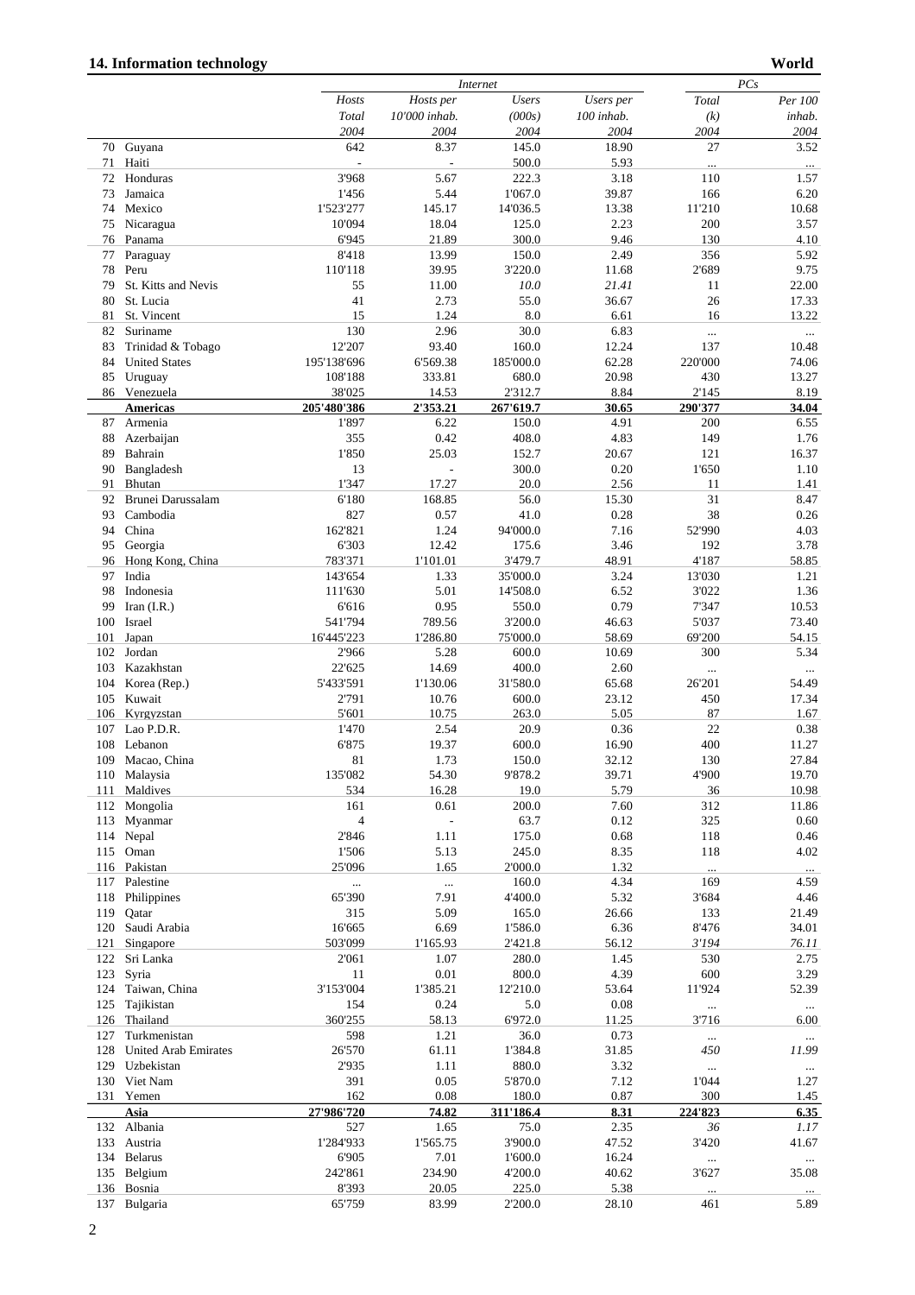|     |                             |                | <i>Internet</i>          |              |            |          | PCs      |  |  |
|-----|-----------------------------|----------------|--------------------------|--------------|------------|----------|----------|--|--|
|     |                             | Hosts          | Hosts per                | <b>Users</b> | Users per  | Total    | Per 100  |  |  |
|     |                             | Total          | 10'000 inhab.            | (000s)       | 100 inhab. | (k)      | inhab.   |  |  |
|     |                             | 2004           | 2004                     | 2004         | 2004       | 2004     | 2004     |  |  |
|     | 70 Guyana                   | 642            | 8.37                     | 145.0        | 18.90      | 27       | 3.52     |  |  |
| 71  | Haiti                       |                | $\overline{\phantom{a}}$ | 500.0        | 5.93       |          |          |  |  |
|     |                             | 3'968          | 5.67                     |              | 3.18       | $\ldots$ | $\cdots$ |  |  |
| 72  | Honduras                    |                |                          | 222.3        |            | 110      | 1.57     |  |  |
| 73  | Jamaica                     | 1'456          | 5.44                     | 1'067.0      | 39.87      | 166      | 6.20     |  |  |
| 74  | Mexico                      | 1'523'277      | 145.17                   | 14'036.5     | 13.38      | 11'210   | 10.68    |  |  |
| 75  | Nicaragua                   | 10'094         | 18.04                    | 125.0        | 2.23       | 200      | 3.57     |  |  |
| 76  | Panama                      | 6'945          | 21.89                    | 300.0        | 9.46       | 130      | 4.10     |  |  |
| 77  | Paraguay                    | 8'418          | 13.99                    | 150.0        | 2.49       | 356      | 5.92     |  |  |
| 78  | Peru                        | 110'118        | 39.95                    | 3'220.0      | 11.68      | 2'689    | 9.75     |  |  |
| 79  | St. Kitts and Nevis         | 55             | 11.00                    | 10.0         | 21.41      | 11       | 22.00    |  |  |
| 80  | St. Lucia                   | 41             | 2.73                     | 55.0         | 36.67      | 26       | 17.33    |  |  |
| 81  | St. Vincent                 | 15             | 1.24                     | 8.0          | 6.61       | 16       | 13.22    |  |  |
| 82  | Suriname                    | 130            | 2.96                     | 30.0         | 6.83       | $\cdots$ |          |  |  |
| 83  | Trinidad & Tobago           | 12'207         | 93.40                    | 160.0        | 12.24      | 137      | 10.48    |  |  |
| 84  | <b>United States</b>        | 195'138'696    | 6'569.38                 | 185'000.0    | 62.28      | 220'000  | 74.06    |  |  |
| 85  | Uruguay                     | 108'188        | 333.81                   | 680.0        | 20.98      | 430      | 13.27    |  |  |
|     | 86 Venezuela                | 38'025         | 14.53                    | 2'312.7      | 8.84       | 2'145    | 8.19     |  |  |
|     |                             | 205'480'386    | 2'353.21                 | 267'619.7    | 30.65      | 290'377  | 34.04    |  |  |
|     | <b>Americas</b>             |                |                          |              |            |          |          |  |  |
| 87  | Armenia                     | 1'897          | 6.22                     | 150.0        | 4.91       | 200      | 6.55     |  |  |
| 88  | Azerbaijan                  | 355            | 0.42                     | 408.0        | 4.83       | 149      | 1.76     |  |  |
| 89  | Bahrain                     | 1'850          | 25.03                    | 152.7        | 20.67      | 121      | 16.37    |  |  |
| 90  | Bangladesh                  | 13             | $\overline{\phantom{a}}$ | 300.0        | 0.20       | 1'650    | 1.10     |  |  |
| 91  | Bhutan                      | 1'347          | 17.27                    | 20.0         | 2.56       | 11       | 1.41     |  |  |
| 92  | Brunei Darussalam           | 6'180          | 168.85                   | 56.0         | 15.30      | 31       | 8.47     |  |  |
| 93  | Cambodia                    | 827            | 0.57                     | 41.0         | 0.28       | 38       | 0.26     |  |  |
| 94  | China                       | 162'821        | 1.24                     | 94'000.0     | 7.16       | 52'990   | 4.03     |  |  |
| 95  | Georgia                     | 6'303          | 12.42                    | 175.6        | 3.46       | 192      | 3.78     |  |  |
|     |                             |                |                          |              | 48.91      | 4'187    |          |  |  |
| 96  | Hong Kong, China            | 783'371        | 1'101.01                 | 3'479.7      |            |          | 58.85    |  |  |
| 97  | India                       | 143'654        | 1.33                     | 35'000.0     | 3.24       | 13'030   | 1.21     |  |  |
| 98  | Indonesia                   | 111'630        | 5.01                     | 14'508.0     | 6.52       | 3'022    | 1.36     |  |  |
| 99  | Iran $(I.R.)$               | 6'616          | 0.95                     | 550.0        | 0.79       | 7'347    | 10.53    |  |  |
| 100 | Israel                      | 541'794        | 789.56                   | 3'200.0      | 46.63      | 5'037    | 73.40    |  |  |
| 101 | Japan                       | 16'445'223     | 1'286.80                 | 75'000.0     | 58.69      | 69'200   | 54.15    |  |  |
| 102 | Jordan                      | 2'966          | 5.28                     | 600.0        | 10.69      | 300      | 5.34     |  |  |
| 103 | Kazakhstan                  | 22'625         | 14.69                    | 400.0        | 2.60       | $\cdots$ | $\cdots$ |  |  |
| 104 | Korea (Rep.)                | 5'433'591      | 1'130.06                 | 31'580.0     | 65.68      | 26'201   | 54.49    |  |  |
| 105 | Kuwait                      | 2'791          | 10.76                    | 600.0        | 23.12      | 450      | 17.34    |  |  |
| 106 | Kyrgyzstan                  | 5'601          | 10.75                    | 263.0        | 5.05       | 87       | 1.67     |  |  |
|     | Lao P.D.R.                  |                | 2.54                     | 20.9         |            | 22       |          |  |  |
| 107 |                             | 1'470          |                          |              | 0.36       |          | 0.38     |  |  |
| 108 | Lebanon                     | 6'875          | 19.37                    | 600.0        | 16.90      | 400      | 11.27    |  |  |
| 109 | Macao, China                | 81             | 1.73                     | 150.0        | 32.12      | 130      | 27.84    |  |  |
|     | 110 Malaysia                | 135'082        | 54.30                    | 9'878.2      | 39.71      | 4'900    | 19.70    |  |  |
| 111 | Maldives                    | 534            | 16.28                    | 19.0         | 5.79       | 36       | 10.98    |  |  |
| 112 | Mongolia                    | 161            | 0.61                     | 200.0        | 7.60       | 312      | 11.86    |  |  |
| 113 | Myanmar                     | $\overline{4}$ | $\overline{\phantom{a}}$ | 63.7         | 0.12       | 325      | 0.60     |  |  |
| 114 | Nepal                       | 2'846          | 1.11                     | 175.0        | 0.68       | 118      | 0.46     |  |  |
| 115 | Oman                        | 1'506          | 5.13                     | 245.0        | 8.35       | 118      | 4.02     |  |  |
|     | 116 Pakistan                | 25'096         | 1.65                     | 2'000.0      | 1.32       |          | $\cdots$ |  |  |
| 117 | Palestine                   |                | $\cdots$                 | 160.0        | 4.34       | 169      | 4.59     |  |  |
| 118 | Philippines                 | 65'390         | 7.91                     | 4'400.0      | 5.32       | 3'684    | 4.46     |  |  |
| 119 |                             | 315            | 5.09                     | 165.0        | 26.66      | 133      |          |  |  |
|     | Qatar                       |                |                          |              |            |          | 21.49    |  |  |
| 120 | Saudi Arabia                | 16'665         | 6.69                     | 1'586.0      | 6.36       | 8'476    | 34.01    |  |  |
| 121 | Singapore                   | 503'099        | 1'165.93                 | 2'421.8      | 56.12      | 3'194    | 76.11    |  |  |
| 122 | Sri Lanka                   | 2'061          | 1.07                     | 280.0        | 1.45       | 530      | 2.75     |  |  |
| 123 | Syria                       | 11             | 0.01                     | 800.0        | 4.39       | 600      | 3.29     |  |  |
| 124 | Taiwan, China               | 3'153'004      | 1'385.21                 | 12'210.0     | 53.64      | 11'924   | 52.39    |  |  |
| 125 | Tajikistan                  | 154            | 0.24                     | 5.0          | 0.08       | $\cdots$ | $\cdots$ |  |  |
| 126 | Thailand                    | 360'255        | 58.13                    | 6'972.0      | 11.25      | 3'716    | 6.00     |  |  |
| 127 | Turkmenistan                | 598            | 1.21                     | 36.0         | 0.73       |          | $\ldots$ |  |  |
| 128 | <b>United Arab Emirates</b> | 26'570         | 61.11                    | 1'384.8      | 31.85      | 450      | 11.99    |  |  |
| 129 | Uzbekistan                  | 2'935          | 1.11                     | 880.0        | 3.32       | $\ldots$ | $\ldots$ |  |  |
| 130 | Viet Nam                    | 391            | 0.05                     | 5'870.0      | 7.12       | 1'044    | 1.27     |  |  |
| 131 | Yemen                       | 162            | 0.08                     | 180.0        | 0.87       | 300      | 1.45     |  |  |
|     |                             |                |                          |              |            |          |          |  |  |
|     | Asia                        | 27'986'720     | 74.82                    | 311'186.4    | 8.31       | 224'823  | 6.35     |  |  |
| 132 | Albania                     | 527            | 1.65                     | 75.0         | 2.35       | 36       | 1.17     |  |  |
| 133 | Austria                     | 1'284'933      | 1'565.75                 | 3'900.0      | 47.52      | 3'420    | 41.67    |  |  |
| 134 | <b>Belarus</b>              | 6'905          | 7.01                     | 1'600.0      | 16.24      | $\cdots$ | $\cdots$ |  |  |
| 135 | Belgium                     | 242'861        | 234.90                   | 4'200.0      | 40.62      | 3'627    | 35.08    |  |  |
| 136 | Bosnia                      | 8'393          | 20.05                    | 225.0        | 5.38       |          |          |  |  |
|     | 137 Bulgaria                | 65'759         | 83.99                    | 2'200.0      | 28.10      | 461      | 5.89     |  |  |